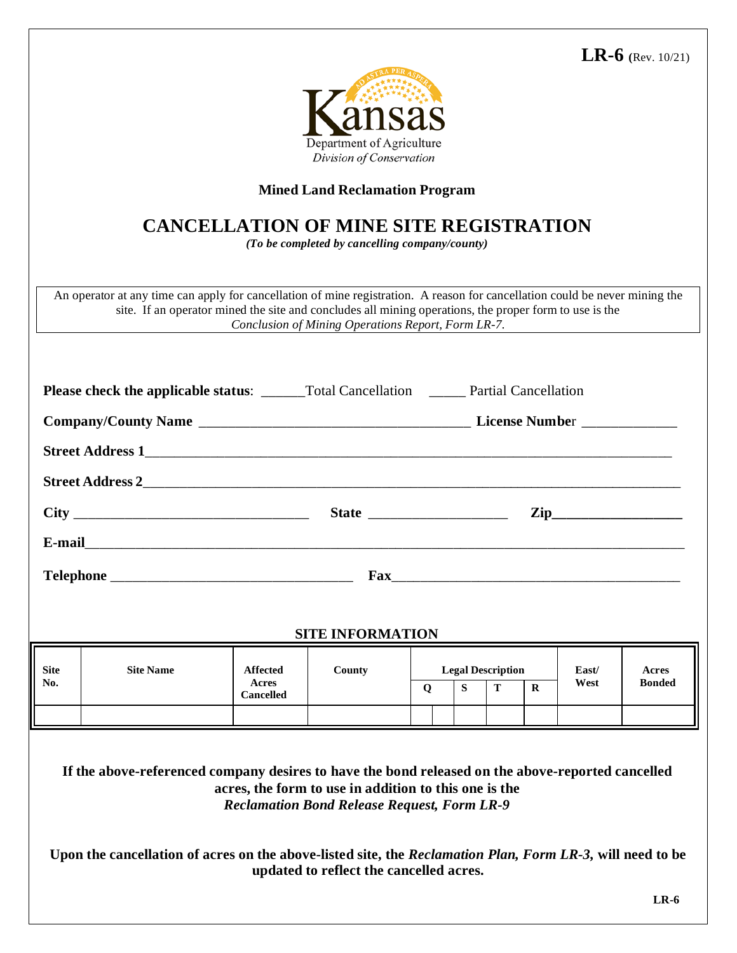**LR-6 (**Rev. 10/21)



## **Mined Land Reclamation Program**

## **CANCELLATION OF MINE SITE REGISTRATION**

*(To be completed by cancelling company/county)* 

An operator at any time can apply for cancellation of mine registration. A reason for cancellation could be never mining the site. If an operator mined the site and concludes all mining operations, the proper form to use is the *Conclusion of Mining Operations Report, Form LR-7.* 

|             |                  |                                              | $\mathbf{Zip}\_$        |                          |   |          |              |       |               |
|-------------|------------------|----------------------------------------------|-------------------------|--------------------------|---|----------|--------------|-------|---------------|
|             |                  |                                              |                         |                          |   |          |              |       |               |
|             |                  |                                              |                         |                          |   |          |              |       |               |
|             |                  |                                              |                         |                          |   |          |              |       |               |
|             |                  |                                              | <b>SITE INFORMATION</b> |                          |   |          |              |       |               |
| <b>Site</b> | <b>Site Name</b> | <b>Affected</b><br>Acres<br><b>Cancelled</b> | County                  | <b>Legal Description</b> |   |          |              | East/ | Acres         |
| No.         |                  |                                              |                         | $\mathbf{O}$             | S | <b>T</b> | $\mathbf{R}$ | West  | <b>Bonded</b> |
|             |                  |                                              |                         |                          |   |          |              |       |               |
|             |                  |                                              |                         |                          |   |          |              |       |               |

## **If the above-referenced company desires to have the bond released on the above-reported cancelled acres, the form to use in addition to this one is the**  *Reclamation Bond Release Request, Form LR-9*

**Upon the cancellation of acres on the above-listed site, the** *Reclamation Plan, Form LR-3,* **will need to be updated to reflect the cancelled acres.**